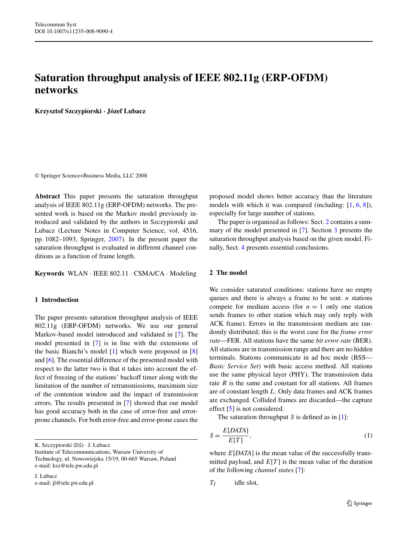# **Saturation throughput analysis of IEEE 802.11g (ERP-OFDM) networks**

**Krzysztof Szczypiorski · Józef Lubacz**

© Springer Science+Business Media, LLC 2008

**Abstract** This paper presents the saturation throughput analysis of IEEE 802.11g (ERP-OFDM) networks. The presented work is based on the Markov model previously introduced and validated by the authors in Szczypiorski and Lubacz (Lecture Notes in Computer Science, vol. 4516, pp. 1082–1093, Springer, [2007](#page-6-0)). In the present paper the saturation throughput is evaluated in different channel conditions as a function of frame length.

**Keywords** WLAN · IEEE 802.11 · CSMA/CA · Modeling

## **1 Introduction**

The paper presents saturation throughput analysis of IEEE 802.11g (ERP-OFDM) networks. We use our general Markov-based model introduced and validated in [\[7](#page-6-0)]. The model presented in [[7\]](#page-6-0) is in line with the extensions of the basic Bianchi's model [\[1](#page-6-0)] which were proposed in [[8\]](#page-6-0) and [[6\]](#page-6-0). The essential difference of the presented model with respect to the latter two is that it takes into account the effect of freezing of the stations' backoff timer along with the limitation of the number of retransmissions, maximum size of the contention window and the impact of transmission errors. The results presented in [[7\]](#page-6-0) showed that our model has good accuracy both in the case of error-free and errorprone channels. For both error-free and error-prone cases the

K. Szczypiorski (⊠) · J. Lubacz

J. Lubacz e-mail: jl@tele.pw.edu.pl proposed model shows better accuracy than the literature models with which it was compared (including: [[1,](#page-6-0) [6,](#page-6-0) [8\]](#page-6-0)), especially for large number of stations.

The paper is organized as follows: Sect. 2 contains a summary of the model presented in [\[7](#page-6-0)]. Section [3](#page-2-0) presents the saturation throughput analysis based on the given model. Finally, Sect. [4](#page-6-0) presents essential conclusions.

# **2 The model**

We consider saturated conditions: stations have no empty queues and there is always a frame to be sent. *n* stations compete for medium access (for  $n = 1$  only one station sends frames to other station which may only reply with ACK frame). Errors in the transmission medium are randomly distributed; this is the worst case for the *frame error rate*—FER. All stations have the same *bit error rate* (BER). All stations are in transmission range and there are no hidden terminals. Stations communicate in ad hoc mode (BSS— *Basic Service Set*) with basic access method. All stations use the same physical layer (PHY). The transmission data rate *R* is the same and constant for all stations. All frames are of constant length *L*. Only data frames and ACK frames are exchanged. Collided frames are discarded—the capture effect [\[5](#page-6-0)] is not considered.

The saturation throughput *S* is defined as in [[1\]](#page-6-0):

$$
S = \frac{E[DATA]}{E[T]},
$$
\n<sup>(1)</sup>

where *E*[*DATA*] is the mean value of the successfully transmitted payload, and  $E[T]$  is the mean value of the duration of the following *channel states* [[7\]](#page-6-0):

$$
T_I
$$
 idle slot,

Institute of Telecommunications, Warsaw University of Technology, ul. Nowowiejska 15/19, 00-665 Warsaw, Poland e-mail: ksz@tele.pw.edu.pl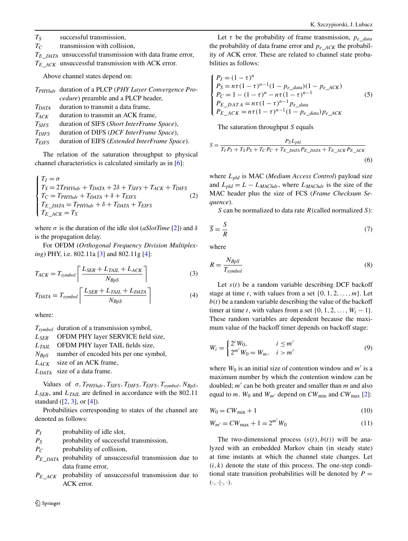*TS* successful transmission,

*TC* transmission with collision,

*TE*\_*DATA* unsuccessful transmission with data frame error, *TE*\_*ACK* unsuccessful transmission with ACK error.

Above channel states depend on:

|                         | T <sub>PHYhdr</sub> duration of a PLCP (PHY Layer Convergence Pro- |
|-------------------------|--------------------------------------------------------------------|
|                         | <i>cedure</i> ) preamble and a PLCP header,                        |
| $T_{DATA}$              | duration to transmit a data frame,                                 |
| $T_{ACK}$               | duration to transmit an ACK frame,                                 |
| $T_{SIFS}$              | duration of SIFS (Short InterFrame Space),                         |
| <i>T<sub>DIFS</sub></i> | duration of DIFS (DCF InterFrame Space),                           |
| $T_{EIFS}$              | duration of EIFS ( <i>Extended InterFrame Space</i> ).             |
|                         |                                                                    |

The relation of the saturation throughput to physical channel characteristics is calculated similarly as in [\[6](#page-6-0)]:

$$
\begin{cases}\nT_I = \sigma \\
T_S = 2T_{PHYhdr} + T_{DATA} + 2\delta + T_{SIFS} + T_{ACK} + T_{DIFS} \\
T_C = T_{PHYhdr} + T_{DATA} + \delta + T_{EIFS} \\
T_{E\_DATA} = T_{PHYhdr} + \delta + T_{DATA} + T_{EIFS} \\
T_{E\_ACK} = T_S\n\end{cases} (2)
$$

where *σ* is the duration of the idle slot (*aSlotTime* [[2](#page-6-0)]) and *δ* is the propagation delay.

For OFDM (*Orthogonal Frequency Division Multiplexing*) PHY, i.e. 802.11a [\[3](#page-6-0)] and 802.11g [\[4](#page-6-0)]:

$$
T_{ACK} = T_{symbol} \left[ \frac{L_{SER} + L_{TAIL} + L_{ACK}}{N_{BpS}} \right]
$$
 (3)

$$
T_{DATA} = T_{symbol} \left[ \frac{L_{SER} + L_{TAIL} + L_{DATA}}{N_{BpS}} \right]
$$
\n(4)

where:

*Tsymbol* duration of a transmission symbol,

*LSER* OFDM PHY layer SERVICE field size,

*LTAIL* OFDM PHY layer TAIL fields size,

*NBpS* number of encoded bits per one symbol,

*LACK* size of an ACK frame,

*LDATA* size of a data frame.

Values of *σ,TPHYhdr,TSIFS,TDIFS,TEIFS,Tsymbol,NBpS*, *LSER*, and *LTAIL* are defined in accordance with the 802.11 standard  $([2, 3],$  $([2, 3],$  $([2, 3],$  $([2, 3],$  $([2, 3],$  or  $[4]$  $[4]$ ).

Probabilities corresponding to states of the channel are denoted as follows:

*PI* probability of idle slot,

*PS* probability of successful transmission,

*PC* probability of collision,

*PE*\_*DATA* probability of unsuccessful transmission due to data frame error,

*PE*\_*ACK* probability of unsuccessful transmission due to ACK error.

Let  $\tau$  be the probability of frame transmission,  $p_e$ <sub>data</sub> the probability of data frame error and *pe*\_*ACK* the probability of ACK error. These are related to channel state probabilities as follows:

$$
\begin{cases}\nP_I = (1 - \tau)^n \\
P_S = n\tau (1 - \tau)^{n-1} (1 - p_{e\_data}) (1 - p_{e\_ACK}) \\
P_C = 1 - (1 - \tau)^n - n\tau (1 - \tau)^{n-1} \\
P_{E\_DATA} = n\tau (1 - \tau)^{n-1} p_{e\_data} \\
P_{E\_ACK} = n\tau (1 - \tau)^{n-1} (1 - p_{e\_data}) p_{e\_ACK}\n\end{cases} (5)
$$

The saturation throughput *S* equals

$$
S = \frac{P_S L_{pld}}{T_I P_I + T_S P_S + T_C P_C + T_{E\_DATA} P_{E\_DATA} + T_{E\_ACK} P_{E\_ACK}}
$$
\n
$$
(6)
$$

where *Lpld* is MAC (*Medium Access Control*) payload size and  $L_{pld} = L - L_{MAChdr}$ , where  $L_{MAChdr}$  is the size of the MAC header plus the size of FCS (*Frame Checksum Sequence*).

*S* can be normalized to data rate *R(*called normalized *S*):

$$
\overline{S} = \frac{S}{R} \tag{7}
$$

where

$$
R = \frac{N_{BpS}}{T_{symbol}}\tag{8}
$$

Let  $s(t)$  be a random variable describing DCF backoff stage at time *t*, with values from a set  $\{0, 1, 2, \ldots, m\}$ . Let  $b(t)$  be a random variable describing the value of the backoff timer at time *t*, with values from a set  $\{0, 1, 2, \ldots, W_i - 1\}$ . These random variables are dependent because the maximum value of the backoff timer depends on backoff stage:

$$
W_i = \begin{cases} 2^i W_0, & i \le m' \\ 2^{m'} W_0 = W_m, & i > m' \end{cases}
$$
 (9)

where  $W_0$  is an initial size of contention window and  $m'$  is a maximum number by which the contention window can be doubled; *m'* can be both greater and smaller than *m* and also equal to *m*.  $W_0$  and  $W_{m'}$  depend on  $CW_{min}$  and  $CW_{max}$  [[2\]](#page-6-0):

$$
W_0 = CW_{\min} + 1\tag{10}
$$

$$
W_{m'} = CW_{\text{max}} + 1 = 2^{m'} W_0 \tag{11}
$$

The two-dimensional process  $(s(t), b(t))$  will be analyzed with an embedded Markov chain (in steady state) at time instants at which the channel state changes. Let  $(i, k)$  denote the state of this process. The one-step conditional state transition probabilities will be denoted by  $P =$  $(\cdot, \cdot | \cdot, \cdot).$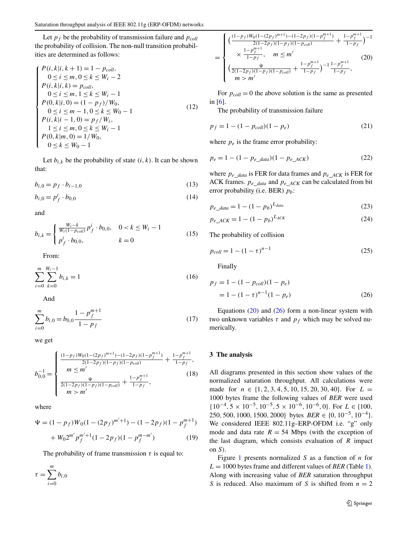<span id="page-2-0"></span>Let  $p_f$  be the probability of transmission failure and  $p_{coll}$ the probability of collision. The non-null transition probabilities are determined as follows:

$$
P(i, k|i, k+1) = 1 - p_{coll},
$$
  
\n
$$
0 \le i \le m, 0 \le k \le W_i - 2
$$
  
\n
$$
P(i, k|i, k) = p_{coll},
$$
  
\n
$$
0 \le i \le m, 1 \le k \le W_i - 1
$$
  
\n
$$
P(0, k|i, 0) = (1 - p_f)/W_0,
$$
  
\n
$$
0 \le i \le m - 1, 0 \le k \le W_0 - 1
$$
  
\n
$$
P(i, k|i - 1, 0) = p_f/W_i,
$$
  
\n
$$
1 \le i \le m, 0 \le k \le W_i - 1
$$
  
\n
$$
P(0, k|m, 0) = 1/W_0,
$$
  
\n
$$
0 \le k \le W_0 - 1
$$
  
\n(12)

Let  $b_{i,k}$  be the probability of state  $(i, k)$ . It can be shown that:

$$
b_{i,0} = p_f \cdot b_{i-1,0} \tag{13}
$$

$$
b_{i,0} = p_f^i \cdot b_{0,0} \tag{14}
$$

and

$$
b_{i,k} = \begin{cases} \frac{W_i - k}{W_i (1 - p_{coll})} p_f^i \cdot b_{0,0}, & 0 < k \le W_i - 1\\ p_f^i \cdot b_{0,0}, & k = 0 \end{cases}
$$
(15)

From:

$$
\sum_{i=0}^{m} \sum_{k=0}^{W_i - 1} b_{i,k} = 1
$$
\n(16)

And

$$
\sum_{i=0}^{m} b_{i,0} = b_{0,0} \frac{1 - p_f^{m+1}}{1 - p_f}
$$
 (17)

we get

$$
b_{0,0}^{-1} = \begin{cases} \frac{(1-p_f)W_0(1-(2p_f)^{m+1}) - (1-2p_f)(1-p_f^{m+1})}{2(1-2p_f)(1-p_f)(1-p_{coll})} + \frac{1-p_f^{m+1}}{1-p_f}, \\ m \leq m' \\ \frac{\Psi}{2(1-2p_f)(1-p_f)(1-p_{coll})} + \frac{1-p_f^{m+1}}{1-p_f}, \end{cases}
$$
(18)

where

$$
\Psi = (1 - p_f)W_0(1 - (2p_f)^{m'+1}) - (1 - 2p_f)(1 - p_f^{m+1})
$$
  
+ 
$$
W_0 2^{m'} p_f^{m'+1} (1 - 2p_f)(1 - p_f^{m-m'})
$$
 (19)

The probability of frame transmission  $\tau$  is equal to:

$$
\tau = \sum_{i=0}^m b_{i,0}
$$

$$
= \begin{cases} \left(\frac{(1-p_f)W_0(1-(2p_f)^{m+1})-(1-2p_f)(1-p_f^{m+1})}{2(1-2p_f)(1-p_f)(1-p_{coll})} + \frac{1-p_f^{m+1}}{1-p_f}\right)^{-1} \\ \times \frac{1-p_f^{m+1}}{1-p_f}, \quad m \leq m' \\ \left(\frac{\Psi}{2(1-2p_f)(1-p_f)(1-p_{coll})} + \frac{1-p_f^{m+1}}{1-p_f}\right)^{-1} \frac{1-p_f^{m+1}}{1-p_f}, \end{cases} (20)
$$

For  $p_{coll} = 0$  the above solution is the same as presented in [\[6](#page-6-0)].

The probability of transmission failure

$$
p_f = 1 - (1 - p_{coll})(1 - p_e)
$$
 (21)

where  $p_e$  is the frame error probability:

$$
p_e = 1 - (1 - p_{e\_data})(1 - p_{e\_ACK})
$$
 (22)

where  $p_e$  <sub>data</sub> is FER for data frames and  $p_e$ <sub>*ACK*</sub> is FER for ACK frames. *pe*\_*data* and *pe*\_*ACK* can be calculated from bit error probability (i.e. BER) *pb*:

$$
p_{e\_data} = 1 - (1 - p_b)^{L_{data}} \tag{23}
$$

$$
p_{e\_ACK} = 1 - (1 - p_b)^{L_{ACK}} \tag{24}
$$

The probability of collision

$$
p_{coll} = 1 - (1 - \tau)^{n-1}
$$
\n(25)

Finally

$$
p_f = 1 - (1 - p_{coll})(1 - p_e)
$$
  
= 1 - (1 -  $\tau$ )<sup>n-1</sup>(1 - p\_e) (26)

Equations  $(20)$  and  $(26)$  form a non-linear system with two unknown variables  $\tau$  and  $p_f$  which may be solved numerically.

#### **3 The analysis**

All diagrams presented in this section show values of the normalized saturation throughput. All calculations were made for *n* ∈ {1*,* 2*,* 3*,* 4*,* 5*,* 10*,* 15*,* 20*,* 30*,* 40}. For *L* = 1000 bytes frame the following values of *BER* were used {10−4*,* 5 × 10−5*,* 10−5*,* 5 × 10−6*,* 10−6*,* 0}. For *L* ∈ {100*,* 250*,* 500*,* 1000*,* 1500*,* 2000} bytes *BER* ∈ {0*,* 10−5*,* 10−4}. We considered IEEE 802.11g–ERP-OFDM i.e. "g" only mode and data rate  $R = 54$  Mbps (with the exception of the last diagram, which consists evaluation of *R* impact on *S)*.

Figure [1](#page-3-0) presents normalized *S* as a function of *n* for  $L = 1000$  $L = 1000$  $L = 1000$  bytes frame and different values of *BER* (Table 1). Along with increasing value of *BER* saturation throughput *S* is reduced. Also maximum of *S* is shifted from  $n = 2$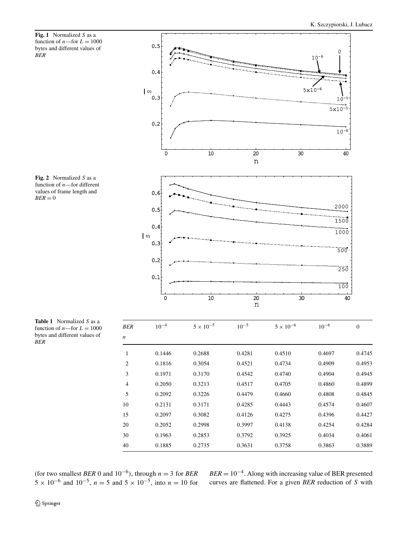<span id="page-3-0"></span>**Fig. 1** Normalized *S* as a function of  $n$ —for  $L = 1000$ bytes and different values of *BER*





**Table 1** Normalized *S* as a function of  $n$ —for  $L = 1000$ bytes and different values of *BER*

(for two smallest *BER* 0 and  $10^{-6}$ ), through  $n = 3$  for *BER*  $5 \times 10^{-6}$  and  $10^{-5}$ ,  $n = 5$  and  $5 \times 10^{-5}$ , into  $n = 10$  for  $BER = 10^{-4}$ . Along with increasing value of BER presented curves are flattened. For a given *BER* reduction of *S* with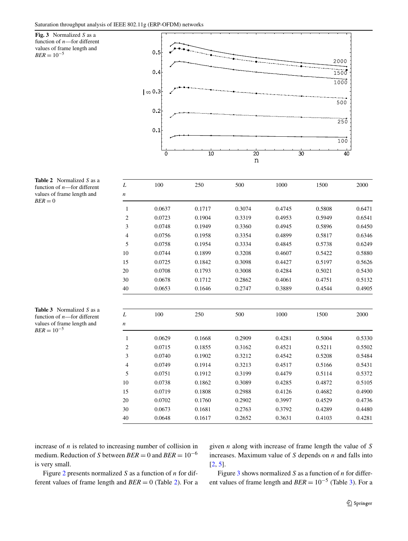**Fig. 3** Normalized *S* as a function of *n*—for different values of frame length and

 $BER = 10^{-5}$ 



| L                | 100    | 250    | 500    | 1000   | 1500   | 2000   |
|------------------|--------|--------|--------|--------|--------|--------|
| $\boldsymbol{n}$ |        |        |        |        |        |        |
| 1                | 0.0637 | 0.1717 | 0.3074 | 0.4745 | 0.5808 | 0.6471 |
| $\sqrt{2}$       | 0.0723 | 0.1904 | 0.3319 | 0.4953 | 0.5949 | 0.6541 |
| 3                | 0.0748 | 0.1949 | 0.3360 | 0.4945 | 0.5896 | 0.6450 |
| 4                | 0.0756 | 0.1958 | 0.3354 | 0.4899 | 0.5817 | 0.6346 |
| 5                | 0.0758 | 0.1954 | 0.3334 | 0.4845 | 0.5738 | 0.6249 |
| 10               | 0.0744 | 0.1899 | 0.3208 | 0.4607 | 0.5422 | 0.5880 |
| 15               | 0.0725 | 0.1842 | 0.3098 | 0.4427 | 0.5197 | 0.5626 |
| 20               | 0.0708 | 0.1793 | 0.3008 | 0.4284 | 0.5021 | 0.5430 |
| 30               | 0.0678 | 0.1712 | 0.2862 | 0.4061 | 0.4751 | 0.5132 |
| 40               | 0.0653 | 0.1646 | 0.2747 | 0.3889 | 0.4544 | 0.4905 |
| L                | 100    | 250    | 500    | 1000   | 1500   | 2000   |
| $\boldsymbol{n}$ |        |        |        |        |        |        |
| 1                | 0.0629 | 0.1668 | 0.2909 | 0.4281 | 0.5004 | 0.5330 |
| $\overline{c}$   | 0.0715 | 0.1855 | 0.3162 | 0.4521 | 0.5211 | 0.5502 |
| 3                | 0.0740 | 0.1902 | 0.3212 | 0.4542 | 0.5208 | 0.5484 |
| $\overline{4}$   | 0.0749 | 0.1914 | 0.3213 | 0.4517 | 0.5166 | 0.5431 |
| 5                | 0.0751 | 0.1912 | 0.3199 | 0.4479 | 0.5114 | 0.5372 |
| 10               | 0.0738 | 0.1862 | 0.3089 | 0.4285 | 0.4872 | 0.5105 |
| 15               | 0.0719 | 0.1808 | 0.2988 | 0.4126 | 0.4682 | 0.4900 |
| 20               | 0.0702 | 0.1760 | 0.2902 | 0.3997 | 0.4529 | 0.4736 |
| 30               | 0.0673 | 0.1681 | 0.2763 | 0.3792 | 0.4289 | 0.4480 |
| 40               | 0.0648 | 0.1617 | 0.2652 | 0.3631 | 0.4103 | 0.4281 |

**Table 2** Normalized *S* as a function of *n*—for different values of frame length and  $BER = 0$ 

**Table 3** Normalized *S* as a function of *n*—for different values of frame length and  $BER = 10^{-5}$ 

increase of *n* is related to increasing number of collision in medium. Reduction of *S* between  $BER = 0$  and  $BER = 10^{-6}$ is very small.

Figure [2](#page-3-0) presents normalized *S* as a function of *n* for different values of frame length and *BER* = 0 (Table 2). For a given *n* along with increase of frame length the value of *S* increases. Maximum value of *S* depends on *n* and falls into [\[2](#page-6-0), [5](#page-6-0)].

Figure 3 shows normalized *S* as a function of *n* for different values of frame length and  $BER = 10^{-5}$  (Table 3). For a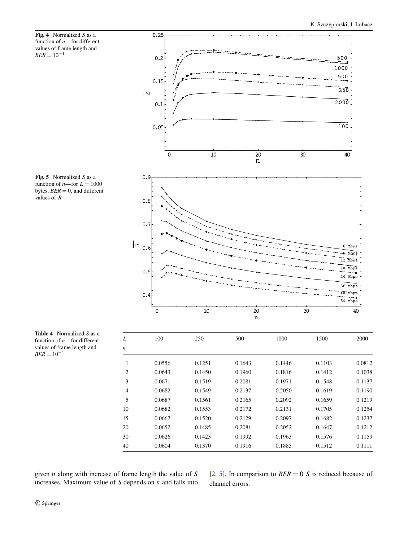<span id="page-5-0"></span>







**Table 4** Normalized *S* as a function of *n*—for different values of frame length and  $BER = 10^{-4}$ 

| L              | 100    | 250    | 500    | 1000   | 1500   | 2000   |
|----------------|--------|--------|--------|--------|--------|--------|
| n              |        |        |        |        |        |        |
| 1              | 0.0556 | 0.1251 | 0.1643 | 0.1446 | 0.1103 | 0.0812 |
| 2              | 0.0643 | 0.1450 | 0.1960 | 0.1816 | 0.1412 | 0.1038 |
| 3              | 0.0671 | 0.1519 | 0.2081 | 0.1971 | 0.1548 | 0.1137 |
| $\overline{4}$ | 0.0682 | 0.1549 | 0.2137 | 0.2050 | 0.1619 | 0.1190 |
| 5              | 0.0687 | 0.1561 | 0.2165 | 0.2092 | 0.1659 | 0.1219 |
| 10             | 0.0682 | 0.1553 | 0.2172 | 0.2131 | 0.1705 | 0.1254 |
| 15             | 0.0667 | 0.1520 | 0.2129 | 0.2097 | 0.1682 | 0.1237 |
| 20             | 0.0652 | 0.1485 | 0.2081 | 0.2052 | 0.1647 | 0.1212 |
| 30             | 0.0626 | 0.1423 | 0.1992 | 0.1963 | 0.1576 | 0.1159 |
| 40             | 0.0604 | 0.1370 | 0.1916 | 0.1885 | 0.1512 | 0.1111 |

given *n* along with increase of frame length the value of *S* increases. Maximum value of *S* depends on *n* and falls into [\[2](#page-6-0), [5\]](#page-6-0). In comparison to  $BER = 0$  *S* is reduced because of channel errors.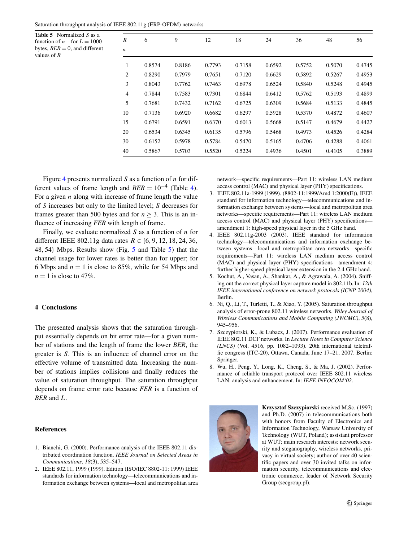<span id="page-6-0"></span>

|  | Saturation throughput analysis of IEEE 802.11g (ERP-OFDM) networks |
|--|--------------------------------------------------------------------|
|--|--------------------------------------------------------------------|

| <b>Table 5</b> Normalized $S$ as a<br>function of <i>n</i> —for $L = 1000$<br>bytes, $BER = 0$ , and different | R<br>$\boldsymbol{n}$ | 6      | 9      | 12     | 18     | 24     | 36     | 48     | 56     |
|----------------------------------------------------------------------------------------------------------------|-----------------------|--------|--------|--------|--------|--------|--------|--------|--------|
| values of $R$                                                                                                  |                       |        |        |        |        |        |        |        |        |
|                                                                                                                | 1                     | 0.8574 | 0.8186 | 0.7793 | 0.7158 | 0.6592 | 0.5752 | 0.5070 | 0.4745 |
|                                                                                                                | $\overline{c}$        | 0.8290 | 0.7979 | 0.7651 | 0.7120 | 0.6629 | 0.5892 | 0.5267 | 0.4953 |
|                                                                                                                | 3                     | 0.8043 | 0.7762 | 0.7463 | 0.6978 | 0.6524 | 0.5840 | 0.5248 | 0.4945 |
|                                                                                                                | 4                     | 0.7844 | 0.7583 | 0.7301 | 0.6844 | 0.6412 | 0.5762 | 0.5193 | 0.4899 |
|                                                                                                                | 5                     | 0.7681 | 0.7432 | 0.7162 | 0.6725 | 0.6309 | 0.5684 | 0.5133 | 0.4845 |
|                                                                                                                | 10                    | 0.7136 | 0.6920 | 0.6682 | 0.6297 | 0.5928 | 0.5370 | 0.4872 | 0.4607 |
|                                                                                                                | 15                    | 0.6791 | 0.6591 | 0.6370 | 0.6013 | 0.5668 | 0.5147 | 0.4679 | 0.4427 |
|                                                                                                                | 20                    | 0.6534 | 0.6345 | 0.6135 | 0.5796 | 0.5468 | 0.4973 | 0.4526 | 0.4284 |
|                                                                                                                | 30                    | 0.6152 | 0.5978 | 0.5784 | 0.5470 | 0.5165 | 0.4706 | 0.4288 | 0.4061 |
|                                                                                                                | 40                    | 0.5867 | 0.5703 | 0.5520 | 0.5224 | 0.4936 | 0.4501 | 0.4105 | 0.3889 |

Figure [4](#page-5-0) presents normalized *S* as a function of *n* for different values of frame length and  $BER = 10^{-4}$  $BER = 10^{-4}$  $BER = 10^{-4}$  (Table 4). For a given *n* along with increase of frame length the value of *S* increases but only to the limited level; *S* decreases for frames greater than 500 bytes and for  $n > 3$ . This is an influence of increasing *FER* with length of frame.

Finally, we evaluate normalized *S* as a function of *n* for different IEEE 802.11g data rates *R* ∈ {6*,* 9*,* 12*,* 18*,* 24*,* 36*,* 48*,* 54} Mbps. Results show (Fig. [5](#page-5-0) and Table 5) that the channel usage for lower rates is better than for upper; for 6 Mbps and  $n = 1$  is close to 85%, while for 54 Mbps and  $n = 1$  is close to 47%.

#### **4 Conclusions**

The presented analysis shows that the saturation throughput essentially depends on bit error rate—for a given number of stations and the length of frame the lower *BER*, the greater is *S*. This is an influence of channel error on the effective volume of transmitted data. Increasing the number of stations implies collisions and finally reduces the value of saturation throughput. The saturation throughput depends on frame error rate because *FER* is a function of *BER* and *L*.

## **References**

- 1. Bianchi, G. (2000). Performance analysis of the IEEE 802.11 distributed coordination function. *IEEE Journal on Selected Areas in Communications*, *18*(3), 535–547.
- 2. IEEE 802.11, 1999 (1999). Edition (ISO/IEC 8802-11: 1999) IEEE standards for information technology—telecommunications and information exchange between systems—local and metropolitan area

network—specific requirements—Part 11: wireless LAN medium access control (MAC) and physical layer (PHY) specifications.

- 3. IEEE 802.11a-1999 (1999). (8802-11:1999/Amd 1:2000(E)), IEEE standard for information technology—telecommunications and information exchange between systems—local and metropolitan area networks—specific requirements—Part 11: wireless LAN medium access control (MAC) and physical layer (PHY) specifications amendment 1: high-speed physical layer in the 5 GHz band.
- 4. IEEE 802.11g-2003 (2003). IEEE standard for information technology—telecommunications and information exchange between systems—local and metropolitan area networks—specific requirements—Part 11: wireless LAN medium access control (MAC) and physical layer (PHY) specifications—amendment 4: further higher-speed physical layer extension in the 2.4 GHz band.
- 5. Kochut, A., Vasan, A., Shankar, A., & Agrawala, A. (2004). Sniffing out the correct physical layer capture model in 802.11b. In: *12th IEEE international conference on network protocols (ICNP 2004)*, Berlin.
- 6. Ni, Q., Li, T., Turletti, T., & Xiao, Y. (2005). Saturation throughput analysis of error-prone 802.11 wireless networks. *Wiley Journal of Wireless Communications and Mobile Computing (JWCMC)*, *5*(8), 945–956.
- 7. Szczypiorski, K., & Lubacz, J. (2007). Performance evaluation of IEEE 802.11 DCF networks. In *Lecture Notes in Computer Science (LNCS)* (Vol. 4516, pp. 1082–1093). 20th international teletraffic congress (ITC-20), Ottawa, Canada, June 17–21, 2007. Berlin: Springer.
- 8. Wu, H., Peng, Y., Long, K., Cheng, S., & Ma, J. (2002). Performance of reliable transport protocol over IEEE 802.11 wireless LAN: analysis and enhancement. In: *IEEE INFOCOM'02*.



**Krzysztof Szczypiorski** received M.Sc. (1997) and Ph.D. (2007) in telecommunications both with honors from Faculty of Electronics and Information Technology, Warsaw University of Technology (WUT, Poland); assistant professor at WUT; main research interests: network security and steganography, wireless networks, privacy in virtual society; author of over 40 scientific papers and over 30 invited talks on information security, telecommunications and electronic commerce; leader of Network Security Group (secgroup.pl).